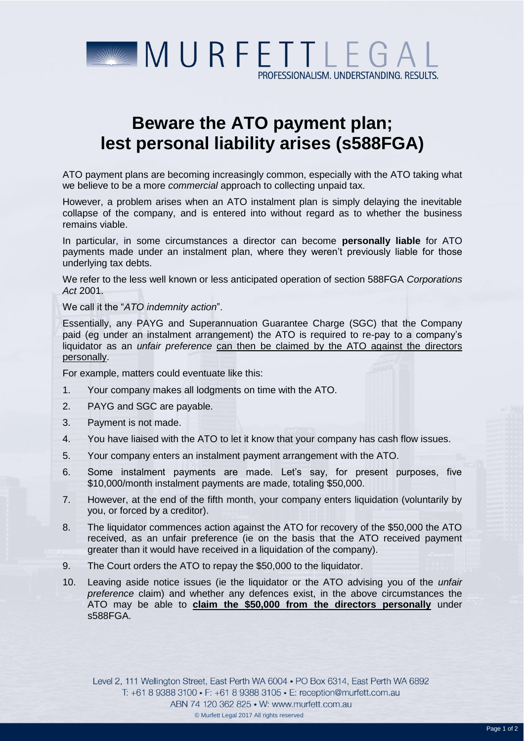

## **Beware the ATO payment plan; lest personal liability arises (s588FGA)**

ATO payment plans are becoming increasingly common, especially with the ATO taking what we believe to be a more *commercial* approach to collecting unpaid tax.

However, a problem arises when an ATO instalment plan is simply delaying the inevitable collapse of the company, and is entered into without regard as to whether the business remains viable.

In particular, in some circumstances a director can become **personally liable** for ATO payments made under an instalment plan, where they weren't previously liable for those underlying tax debts.

We refer to the less well known or less anticipated operation of section 588FGA *Corporations Act* 2001.

We call it the "*ATO indemnity action*".

Essentially, any PAYG and Superannuation Guarantee Charge (SGC) that the Company paid (eg under an instalment arrangement) the ATO is required to re-pay to a company's liquidator as an *unfair preference* can then be claimed by the ATO against the directors personally.

For example, matters could eventuate like this:

- 1. Your company makes all lodgments on time with the ATO.
- 2. PAYG and SGC are payable.
- 3. Payment is not made.
- 4. You have liaised with the ATO to let it know that your company has cash flow issues.
- 5. Your company enters an instalment payment arrangement with the ATO.
- 6. Some instalment payments are made. Let's say, for present purposes, five \$10,000/month instalment payments are made, totaling \$50,000.
- 7. However, at the end of the fifth month, your company enters liquidation (voluntarily by you, or forced by a creditor).
- 8. The liquidator commences action against the ATO for recovery of the \$50,000 the ATO received, as an unfair preference (ie on the basis that the ATO received payment greater than it would have received in a liquidation of the company).
- 9. The Court orders the ATO to repay the \$50,000 to the liquidator.
- 10. Leaving aside notice issues (ie the liquidator or the ATO advising you of the *unfair preference* claim) and whether any defences exist, in the above circumstances the ATO may be able to **claim the \$50,000 from the directors personally** under s588FGA.

Level 2, 111 Wellington Street, East Perth WA 6004 • PO Box 6314, East Perth WA 6892 T: +61 8 9388 3100 • F: +61 8 9388 3105 • E: reception@murfett.com.au ABN 74 120 362 825 • W: www.murfett.com.au © Murfett Legal 2017 All rights reserved